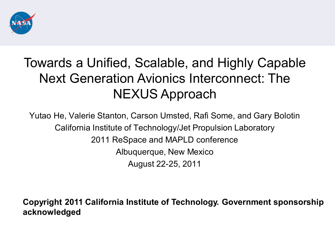

## Towards a Unified, Scalable, and Highly Capable Next Generation Avionics Interconnect: The NEXUS Approach

Yutao He, Valerie Stanton, Carson Umsted, Rafi Some, and Gary Bolotin California Institute of Technology/Jet Propulsion Laboratory 2011 ReSpace and MAPLD conference Albuquerque, New Mexico August 22-25, 2011

**Copyright 2011 California Institute of Technology. Government sponsorship acknowledged**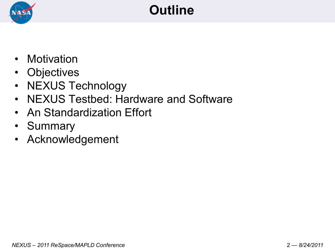

## **Outline**

- Motivation
- Objectives
- NEXUS Technology
- NEXUS Testbed: Hardware and Software
- An Standardization Effort
- Summary
- Acknowledgement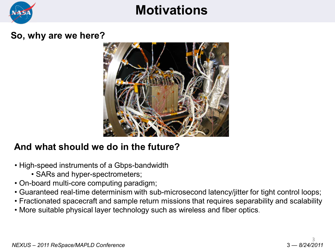

### **Motivations**

#### **So, why are we here?**



#### **And what should we do in the future?**

- High-speed instruments of a Gbps-bandwidth
	- SARs and hyper-spectrometers;
- On-board multi-core computing paradigm;
- Guaranteed real-time determinism with sub-microsecond latency/jitter for tight control loops;
- Fractionated spacecraft and sample return missions that requires separability and scalability
- More suitable physical layer technology such as wireless and fiber optics.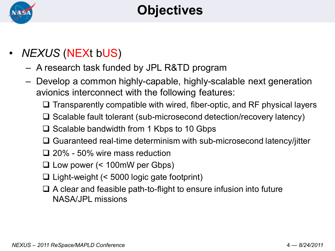

- *NEXUS* (NEXt bUS)
	- A research task funded by JPL R&TD program
	- Develop a common highly-capable, highly-scalable next generation avionics interconnect with the following features:
		- $\Box$  Transparently compatible with wired, fiber-optic, and RF physical layers
		- $\Box$  Scalable fault tolerant (sub-microsecond detection/recovery latency)
		- $\Box$  Scalable bandwidth from 1 Kbps to 10 Gbps
		- $\Box$  Guaranteed real-time determinism with sub-microsecond latency/jitter
		- 20% 50% wire mass reduction
		- Low power (< 100mW per Gbps)
		- $\Box$  Light-weight (< 5000 logic gate footprint)
		- $\Box$  A clear and feasible path-to-flight to ensure infusion into future NASA/JPL missions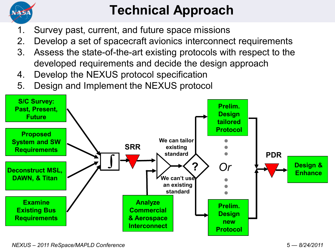

# **Technical Approach**

- 1. Survey past, current, and future space missions
- 2. Develop a set of spacecraft avionics interconnect requirements
- 3. Assess the state-of-the-art existing protocols with respect to the developed requirements and decide the design approach
- 4. Develop the NEXUS protocol specification
- 5. Design and Implement the NEXUS protocol

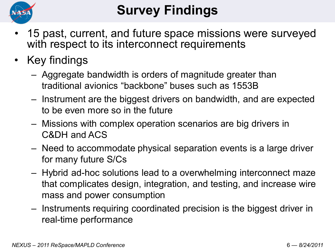

# **Survey Findings**

- 15 past, current, and future space missions were surveyed with respect to its interconnect requirements
- Key findings
	- Aggregate bandwidth is orders of magnitude greater than traditional avionics "backbone" buses such as 1553B
	- Instrument are the biggest drivers on bandwidth, and are expected to be even more so in the future
	- Missions with complex operation scenarios are big drivers in C&DH and ACS
	- Need to accommodate physical separation events is a large driver for many future S/Cs
	- Hybrid ad-hoc solutions lead to a overwhelming interconnect maze that complicates design, integration, and testing, and increase wire mass and power consumption
	- Instruments requiring coordinated precision is the biggest driver in real-time performance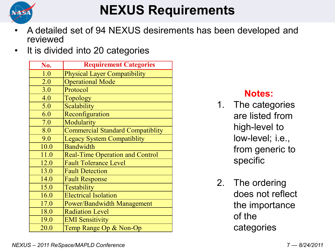

## **NEXUS Requirements**

- A detailed set of 94 NEXUS desirements has been developed and reviewed
- It is divided into 20 categories

| No.  | <b>Requirement Categories</b>           |  |  |
|------|-----------------------------------------|--|--|
| 1.0  | <b>Physical Layer Compatibility</b>     |  |  |
| 2.0  | <b>Operational Mode</b>                 |  |  |
| 3.0  | Protocol                                |  |  |
| 4.0  | <b>Topology</b>                         |  |  |
| 5.0  | Scalability                             |  |  |
| 6.0  | Reconfiguration                         |  |  |
| 7.0  | Modularity                              |  |  |
| 8.0  | <b>Commercial Standard Compatiblity</b> |  |  |
| 9.0  | <b>Legacy System Compatiblity</b>       |  |  |
| 10.0 | <b>Bandwidth</b>                        |  |  |
| 11.0 | <b>Real-Time Operation and Control</b>  |  |  |
| 12.0 | <b>Fault Tolerance Level</b>            |  |  |
| 13.0 | <b>Fault Detection</b>                  |  |  |
| 14.0 | <b>Fault Response</b>                   |  |  |
| 15.0 | Testability                             |  |  |
| 16.0 | <b>Electrical Isolation</b>             |  |  |
| 17.0 | <b>Power/Bandwidth Management</b>       |  |  |
| 18.0 | <b>Radiation Level</b>                  |  |  |
| 19.0 | <b>EMI</b> Sensitivity                  |  |  |
| 20.0 | Temp Range Op & Non-Op                  |  |  |

#### **Notes:**

- 1. The categories are listed from high-level to low-level; i.e., from generic to specific
- 2. The ordering does not reflect the importance of the categories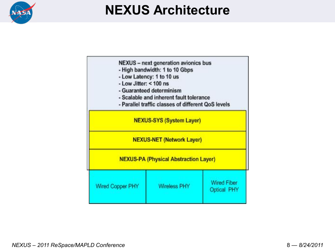

## **NEXUS Architecture**

| NEXUS - next generation avionics bus<br>- High bandwidth: 1 to 10 Gbps<br>- Low Latency: 1 to 10 us<br>- Low Jitter: $<$ 100 ns<br>- Guaranteed determinism<br>- Scalable and inherent fault tolerance<br>- Parallel traffic classes of different QoS levels |                     |                                          |  |  |  |  |
|--------------------------------------------------------------------------------------------------------------------------------------------------------------------------------------------------------------------------------------------------------------|---------------------|------------------------------------------|--|--|--|--|
| <b>NEXUS-SYS (System Layer)</b><br><b>NEXUS-NET (Network Layer)</b>                                                                                                                                                                                          |                     |                                          |  |  |  |  |
| <b>NEXUS-PA (Physical Abstraction Layer)</b>                                                                                                                                                                                                                 |                     |                                          |  |  |  |  |
| Wired Copper PHY                                                                                                                                                                                                                                             | <b>Wireless PHY</b> | <b>Wired Fiber</b><br><b>Optical PHY</b> |  |  |  |  |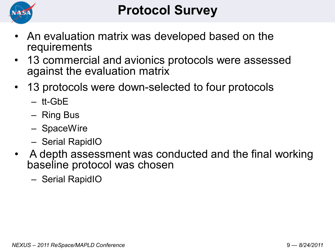

- An evaluation matrix was developed based on the requirements
- 13 commercial and avionics protocols were assessed against the evaluation matrix
- 13 protocols were down-selected to four protocols
	- tt-GbE
	- Ring Bus
	- SpaceWire
	- Serial RapidIO
- A depth assessment was conducted and the final working baseline protocol was chosen
	- Serial RapidIO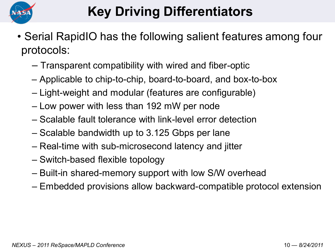

# **Key Driving Differentiators**

- Serial RapidIO has the following salient features among four protocols:
	- Transparent compatibility with wired and fiber-optic
	- Applicable to chip-to-chip, board-to-board, and box-to-box
	- Light-weight and modular (features are configurable)
	- Low power with less than 192 mW per node
	- Scalable fault tolerance with link-level error detection
	- Scalable bandwidth up to 3.125 Gbps per lane
	- Real-time with sub-microsecond latency and jitter
	- Switch-based flexible topology
	- Built-in shared-memory support with low S/W overhead
	- Embedded provisions allow backward-compatible protocol extension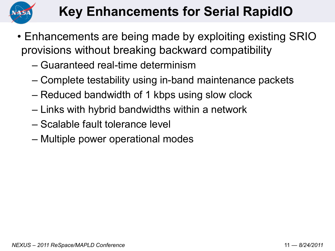

## **Key Enhancements for Serial RapidIO**

- Enhancements are being made by exploiting existing SRIO provisions without breaking backward compatibility
	- Guaranteed real-time determinism
	- Complete testability using in-band maintenance packets
	- Reduced bandwidth of 1 kbps using slow clock
	- Links with hybrid bandwidths within a network
	- Scalable fault tolerance level
	- Multiple power operational modes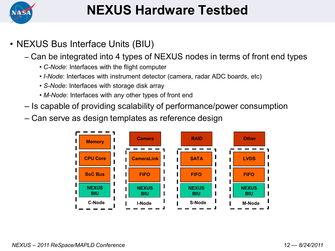

## **NEXUS Hardware Testbed**

- NEXUS Bus Interface Units (BIU)
	- Can be integrated into 4 types of NEXUS nodes in terms of front end types
		- *C-Node*: Interfaces with the flight computer
		- *I-Node*: Interfaces with instrument detector (camera, radar ADC boards, etc)
		- *S-Node*: Interfaces with storage disk array
		- *M-Node*: Interfaces with any other types of front end
	- Is capable of providing scalability of performance/power consumption
	- Can serve as design templates as reference design

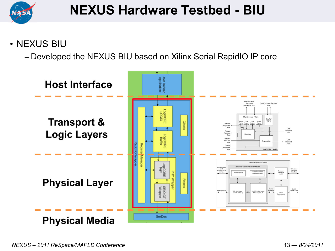

#### • NEXUS BIU

– Developed the NEXUS BIU based on Xilinx Serial RapidIO IP core

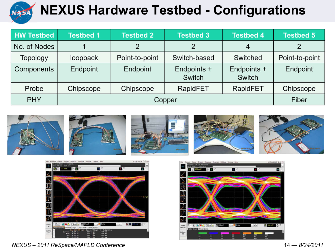

## **NEXUS Hardware Testbed - Configurations**

| <b>HW Testbed</b> | <b>Testbed 1</b> | <b>Testbed 2</b> | <b>Testbed 3</b>      | <b>Testbed 4</b>      | <b>Testbed 5</b> |
|-------------------|------------------|------------------|-----------------------|-----------------------|------------------|
| No. of Nodes      |                  |                  |                       | 4                     |                  |
| <b>Topology</b>   | loopback         | Point-to-point   | Switch-based          | Switched              | Point-to-point   |
| Components        | Endpoint         | Endpoint         | Endpoints +<br>Switch | Endpoints +<br>Switch | Endpoint         |
| Probe             | Chipscope        | Chipscope        | RapidFET              | RapidFET              | Chipscope        |
| <b>PHY</b>        |                  | Fiber            |                       |                       |                  |





ze Utilities Demos H 30 Sep 2010 2:05 PM  $\mathbf{3}$  $\blacksquare$  $\mathbf{c}$ u s  $\frac{1}{\sqrt{2}}$ 珂 丑 IJ  $\overline{\mathbb{J}}$  $590 \text{ mV}$ More **BOO** O FASH  $(1 of 2)$ **Color Goods** Delet<br>Ali

*NEXUS – 2011 ReSpace/MAPLD Conference* 14 — *8/24/2011*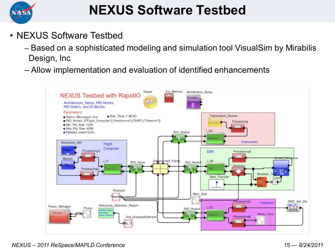

## **NEXUS Software Testbed**

- NEXUS Software Testbed
	- Based on a sophisticated modeling and simulation tool VisualSim by Mirabilis Design, Inc
	- Allow implementation and evaluation of identified enhancements

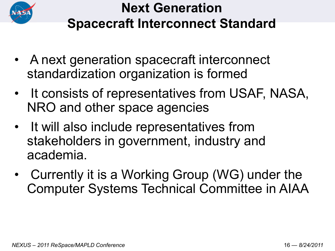

## **Next Generation Spacecraft Interconnect Standard**

- A next generation spacecraft interconnect standardization organization is formed
- It consists of representatives from USAF, NASA, NRO and other space agencies
- It will also include representatives from stakeholders in government, industry and academia.
- Currently it is a Working Group (WG) under the Computer Systems Technical Committee in AIAA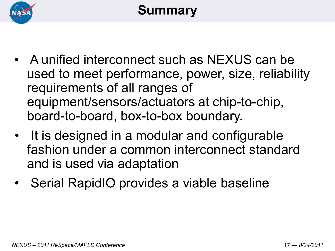

## **Summary**

- A unified interconnect such as NEXUS can be used to meet performance, power, size, reliability requirements of all ranges of equipment/sensors/actuators at chip-to-chip, board-to-board, box-to-box boundary.
- It is designed in a modular and configurable fashion under a common interconnect standard and is used via adaptation
- Serial RapidIO provides a viable baseline